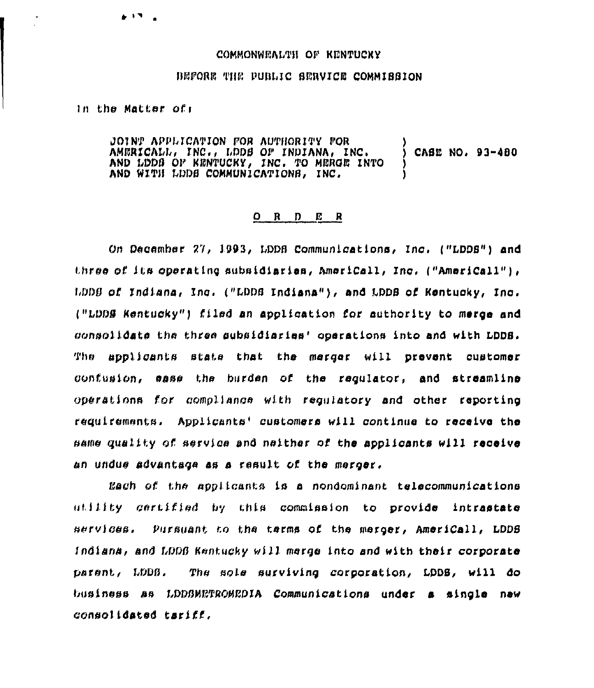## COMMONWEALTH OF KENTUCKY

## BEFORE THE PUBLIC SERVICE COMMISSION

In the Matter of:

 $\bullet$   $\bullet$   $\bullet$ 

JOINT APPLICATION FOR AUTHORITY FOR AMERICALL, INC., LDDB OF INDIANA, INC. CASE NO. 93-480 AND LODG OF KENTUCKY, INC. TO MERGE INTO AND WITH LDDS COMMUNICATIONS, INC.

## $O$  R  $D$  E R

On December 27, 1993, LDDB Communications, Inc. ("LDDS") and three of its operating subsidiaries, AmeriCall, Inc. ("AmeriCall"), LDDB of Indiana, Inc. ("LDDB Indiana"), and LDDB of Kentucky, Inc. ("LDDS Kentucky") filed an application for authority to merge and consolidate the three subsidiaries' operations into and with LDDS. The applicants state that the merger will prevent customer confusion, ease the burden of the requlator, and streamline operations for compliance with requiatory and other reporting requirements. Applicants' customers will continue to receive the same quality of service and naither of the applicants will receive an undue advantage as a result of the merger.

Each of the applicants is a nondominant telecommunications utility gertified by this commission to provide intrastate services. Pursuant to the terms of the merger, AmeriCall, LDDS Indiana, and LDDB Kentucky will merge into and with their corporate parent, LDDB. The sole surviving corporation, LDDS, will do business as LDDSMETROMEDIA Communications under a single new consolidated tariff.